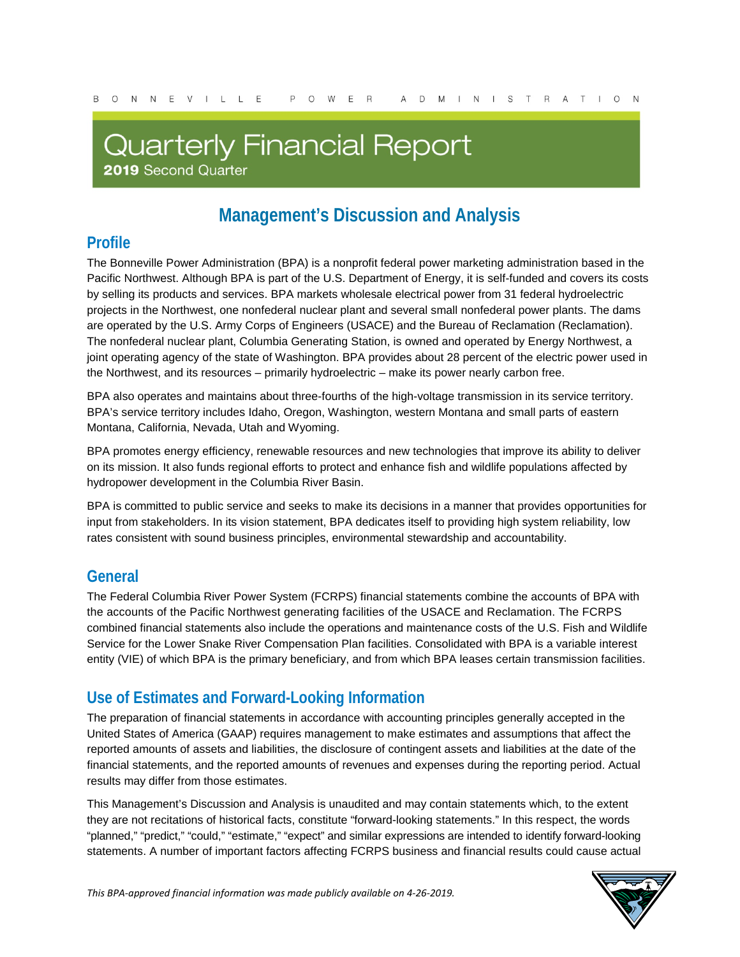# **Quarterly Financial Report**

2019 Second Quarter

# **Management's Discussion and Analysis**

### **Profile**

The Bonneville Power Administration (BPA) is a nonprofit federal power marketing administration based in the Pacific Northwest. Although BPA is part of the U.S. Department of Energy, it is self-funded and covers its costs by selling its products and services. BPA markets wholesale electrical power from 31 federal hydroelectric projects in the Northwest, one nonfederal nuclear plant and several small nonfederal power plants. The dams are operated by the U.S. Army Corps of Engineers (USACE) and the Bureau of Reclamation (Reclamation). The nonfederal nuclear plant, Columbia Generating Station, is owned and operated by Energy Northwest, a joint operating agency of the state of Washington. BPA provides about 28 percent of the electric power used in the Northwest, and its resources – primarily hydroelectric – make its power nearly carbon free.

BPA also operates and maintains about three-fourths of the high-voltage transmission in its service territory. BPA's service territory includes Idaho, Oregon, Washington, western Montana and small parts of eastern Montana, California, Nevada, Utah and Wyoming.

BPA promotes energy efficiency, renewable resources and new technologies that improve its ability to deliver on its mission. It also funds regional efforts to protect and enhance fish and wildlife populations affected by hydropower development in the Columbia River Basin.

BPA is committed to public service and seeks to make its decisions in a manner that provides opportunities for input from stakeholders. In its vision statement, BPA dedicates itself to providing high system reliability, low rates consistent with sound business principles, environmental stewardship and accountability.

### **General**

The Federal Columbia River Power System (FCRPS) financial statements combine the accounts of BPA with the accounts of the Pacific Northwest generating facilities of the USACE and Reclamation. The FCRPS combined financial statements also include the operations and maintenance costs of the U.S. Fish and Wildlife Service for the Lower Snake River Compensation Plan facilities. Consolidated with BPA is a variable interest entity (VIE) of which BPA is the primary beneficiary, and from which BPA leases certain transmission facilities.

### **Use of Estimates and Forward-Looking Information**

The preparation of financial statements in accordance with accounting principles generally accepted in the United States of America (GAAP) requires management to make estimates and assumptions that affect the reported amounts of assets and liabilities, the disclosure of contingent assets and liabilities at the date of the financial statements, and the reported amounts of revenues and expenses during the reporting period. Actual results may differ from those estimates.

This Management's Discussion and Analysis is unaudited and may contain statements which, to the extent they are not recitations of historical facts, constitute "forward-looking statements." In this respect, the words "planned," "predict," "could," "estimate," "expect" and similar expressions are intended to identify forward-looking statements. A number of important factors affecting FCRPS business and financial results could cause actual

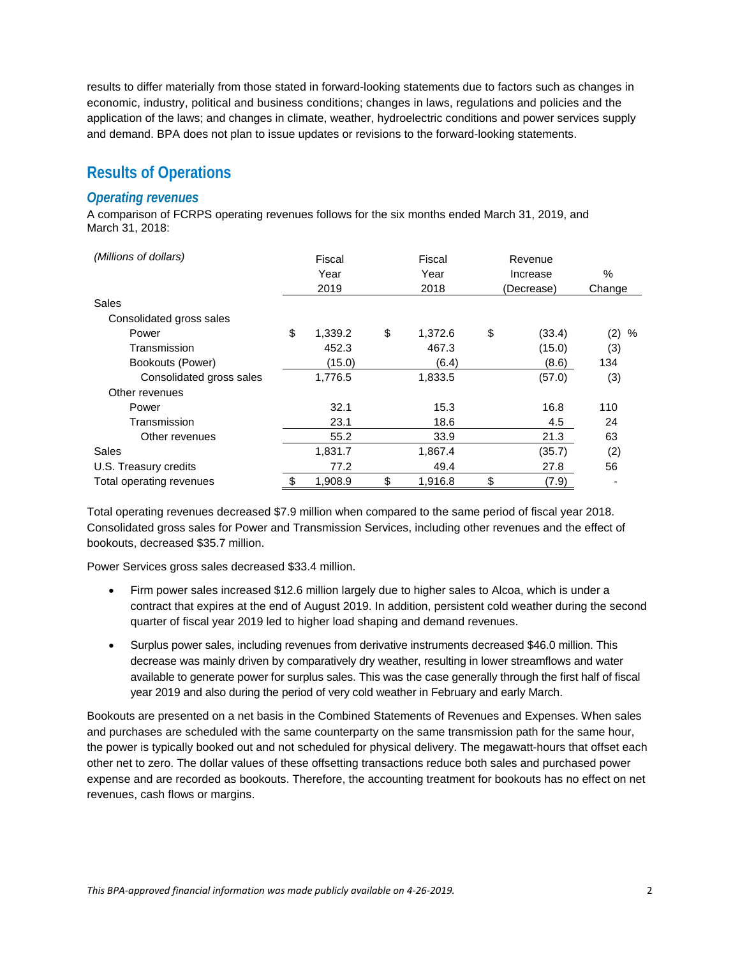results to differ materially from those stated in forward-looking statements due to factors such as changes in economic, industry, political and business conditions; changes in laws, regulations and policies and the application of the laws; and changes in climate, weather, hydroelectric conditions and power services supply and demand. BPA does not plan to issue updates or revisions to the forward-looking statements.

### **Results of Operations**

#### *Operating revenues*

A comparison of FCRPS operating revenues follows for the six months ended March 31, 2019, and March 31, 2018:

| (Millions of dollars)    |    | Fiscal  |    | Fiscal  |    | Revenue    |          |
|--------------------------|----|---------|----|---------|----|------------|----------|
|                          |    | Year    |    | Year    |    | Increase   | %        |
|                          |    | 2019    |    | 2018    |    | (Decrease) | Change   |
| Sales                    |    |         |    |         |    |            |          |
| Consolidated gross sales |    |         |    |         |    |            |          |
| Power                    | \$ | 1,339.2 | \$ | 1,372.6 | \$ | (33.4)     | (2)<br>% |
| Transmission             |    | 452.3   |    | 467.3   |    | (15.0)     | (3)      |
| Bookouts (Power)         |    | (15.0)  |    | (6.4)   |    | (8.6)      | 134      |
| Consolidated gross sales |    | 1,776.5 |    | 1,833.5 |    | (57.0)     | (3)      |
| Other revenues           |    |         |    |         |    |            |          |
| Power                    |    | 32.1    |    | 15.3    |    | 16.8       | 110      |
| Transmission             |    | 23.1    |    | 18.6    |    | 4.5        | 24       |
| Other revenues           |    | 55.2    |    | 33.9    |    | 21.3       | 63       |
| Sales                    |    | 1,831.7 |    | 1,867.4 |    | (35.7)     | (2)      |
| U.S. Treasury credits    |    | 77.2    |    | 49.4    |    | 27.8       | 56       |
| Total operating revenues |    | 1,908.9 | \$ | 1,916.8 | \$ | (7.9)      |          |

Total operating revenues decreased \$7.9 million when compared to the same period of fiscal year 2018. Consolidated gross sales for Power and Transmission Services, including other revenues and the effect of bookouts, decreased \$35.7 million.

Power Services gross sales decreased \$33.4 million.

- Firm power sales increased \$12.6 million largely due to higher sales to Alcoa, which is under a contract that expires at the end of August 2019. In addition, persistent cold weather during the second quarter of fiscal year 2019 led to higher load shaping and demand revenues.
- Surplus power sales, including revenues from derivative instruments decreased \$46.0 million. This decrease was mainly driven by comparatively dry weather, resulting in lower streamflows and water available to generate power for surplus sales. This was the case generally through the first half of fiscal year 2019 and also during the period of very cold weather in February and early March.

Bookouts are presented on a net basis in the Combined Statements of Revenues and Expenses. When sales and purchases are scheduled with the same counterparty on the same transmission path for the same hour, the power is typically booked out and not scheduled for physical delivery. The megawatt-hours that offset each other net to zero. The dollar values of these offsetting transactions reduce both sales and purchased power expense and are recorded as bookouts. Therefore, the accounting treatment for bookouts has no effect on net revenues, cash flows or margins.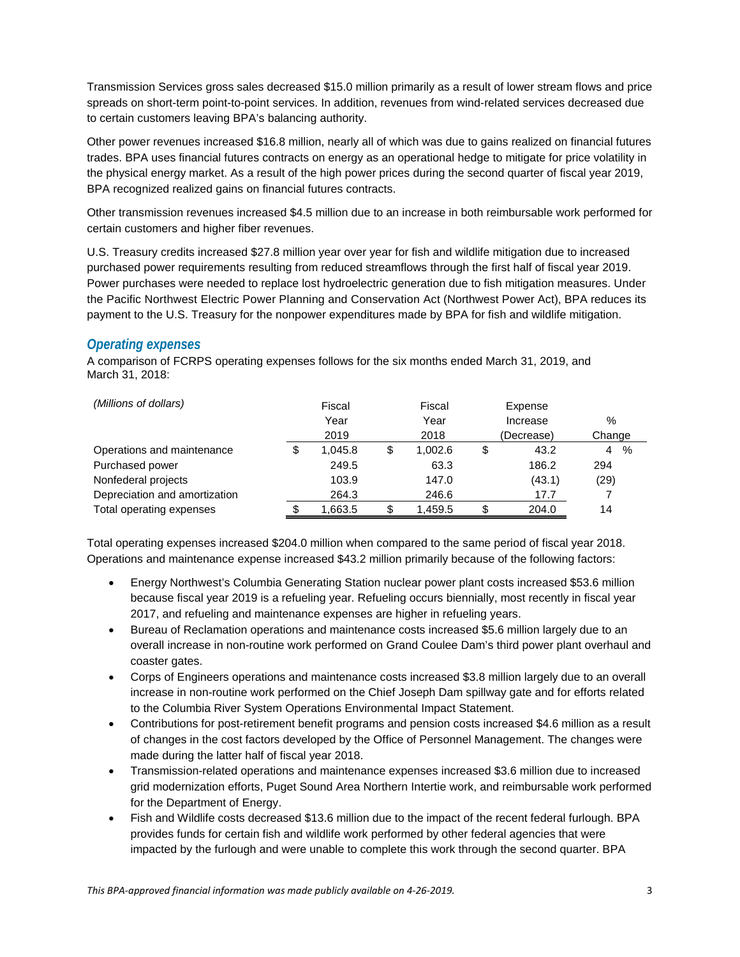Transmission Services gross sales decreased \$15.0 million primarily as a result of lower stream flows and price spreads on short-term point-to-point services. In addition, revenues from wind-related services decreased due to certain customers leaving BPA's balancing authority.

Other power revenues increased \$16.8 million, nearly all of which was due to gains realized on financial futures trades. BPA uses financial futures contracts on energy as an operational hedge to mitigate for price volatility in the physical energy market. As a result of the high power prices during the second quarter of fiscal year 2019, BPA recognized realized gains on financial futures contracts.

Other transmission revenues increased \$4.5 million due to an increase in both reimbursable work performed for certain customers and higher fiber revenues.

U.S. Treasury credits increased \$27.8 million year over year for fish and wildlife mitigation due to increased purchased power requirements resulting from reduced streamflows through the first half of fiscal year 2019. Power purchases were needed to replace lost hydroelectric generation due to fish mitigation measures. Under the Pacific Northwest Electric Power Planning and Conservation Act (Northwest Power Act), BPA reduces its payment to the U.S. Treasury for the nonpower expenditures made by BPA for fish and wildlife mitigation.

#### *Operating expenses*

A comparison of FCRPS operating expenses follows for the six months ended March 31, 2019, and March 31, 2018:

| (Millions of dollars)         | Fiscal |         | Fiscal        |   | Expense    |           |
|-------------------------------|--------|---------|---------------|---|------------|-----------|
|                               |        | Year    | Year          |   | Increase   | %         |
|                               |        | 2019    | 2018          |   | (Decrease) | Change    |
| Operations and maintenance    |        | 1.045.8 | \$<br>1.002.6 | S | 43.2       | $\%$<br>4 |
| Purchased power               |        | 249.5   | 63.3          |   | 186.2      | 294       |
| Nonfederal projects           |        | 103.9   | 147.0         |   | (43.1)     | (29)      |
| Depreciation and amortization |        | 264.3   | 246.6         |   | 17.7       |           |
| Total operating expenses      |        | 1,663.5 | \$<br>1,459.5 |   | 204.0      | 14        |

Total operating expenses increased \$204.0 million when compared to the same period of fiscal year 2018. Operations and maintenance expense increased \$43.2 million primarily because of the following factors:

- Energy Northwest's Columbia Generating Station nuclear power plant costs increased \$53.6 million because fiscal year 2019 is a refueling year. Refueling occurs biennially, most recently in fiscal year 2017, and refueling and maintenance expenses are higher in refueling years.
- Bureau of Reclamation operations and maintenance costs increased \$5.6 million largely due to an overall increase in non-routine work performed on Grand Coulee Dam's third power plant overhaul and coaster gates.
- Corps of Engineers operations and maintenance costs increased \$3.8 million largely due to an overall increase in non-routine work performed on the Chief Joseph Dam spillway gate and for efforts related to the Columbia River System Operations Environmental Impact Statement.
- Contributions for post-retirement benefit programs and pension costs increased \$4.6 million as a result of changes in the cost factors developed by the Office of Personnel Management. The changes were made during the latter half of fiscal year 2018.
- Transmission-related operations and maintenance expenses increased \$3.6 million due to increased grid modernization efforts, Puget Sound Area Northern Intertie work, and reimbursable work performed for the Department of Energy.
- Fish and Wildlife costs decreased \$13.6 million due to the impact of the recent federal furlough. BPA provides funds for certain fish and wildlife work performed by other federal agencies that were impacted by the furlough and were unable to complete this work through the second quarter. BPA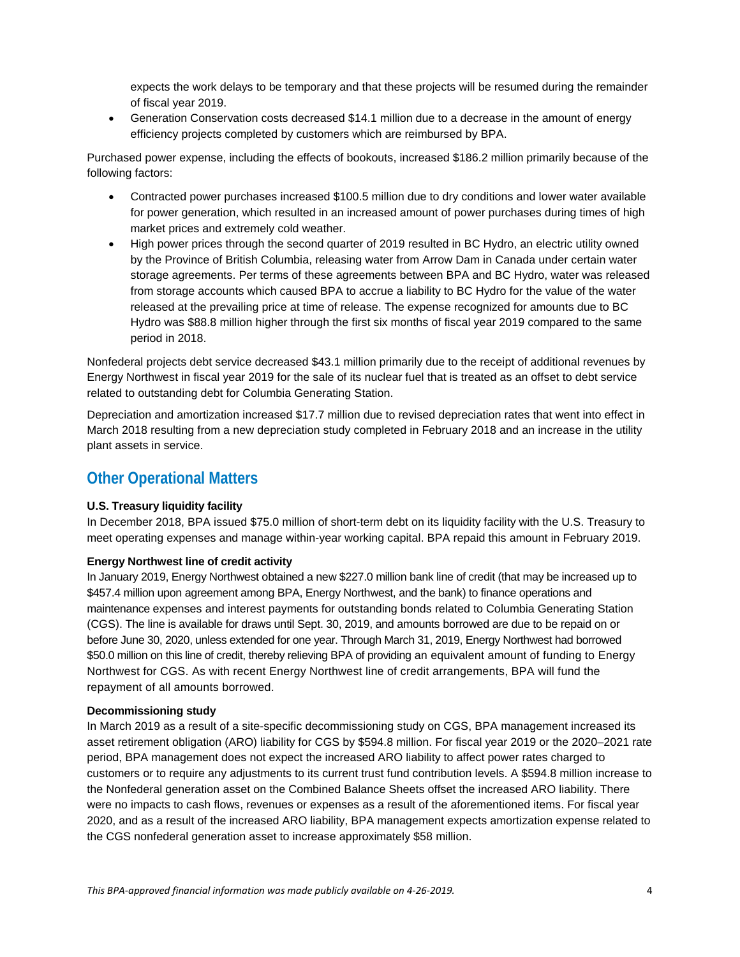expects the work delays to be temporary and that these projects will be resumed during the remainder of fiscal year 2019.

• Generation Conservation costs decreased \$14.1 million due to a decrease in the amount of energy efficiency projects completed by customers which are reimbursed by BPA.

Purchased power expense, including the effects of bookouts, increased \$186.2 million primarily because of the following factors:

- Contracted power purchases increased \$100.5 million due to dry conditions and lower water available for power generation, which resulted in an increased amount of power purchases during times of high market prices and extremely cold weather.
- High power prices through the second quarter of 2019 resulted in BC Hydro, an electric utility owned by the Province of British Columbia, releasing water from Arrow Dam in Canada under certain water storage agreements. Per terms of these agreements between BPA and BC Hydro, water was released from storage accounts which caused BPA to accrue a liability to BC Hydro for the value of the water released at the prevailing price at time of release. The expense recognized for amounts due to BC Hydro was \$88.8 million higher through the first six months of fiscal year 2019 compared to the same period in 2018.

Nonfederal projects debt service decreased \$43.1 million primarily due to the receipt of additional revenues by Energy Northwest in fiscal year 2019 for the sale of its nuclear fuel that is treated as an offset to debt service related to outstanding debt for Columbia Generating Station.

Depreciation and amortization increased \$17.7 million due to revised depreciation rates that went into effect in March 2018 resulting from a new depreciation study completed in February 2018 and an increase in the utility plant assets in service.

### **Other Operational Matters**

#### **U.S. Treasury liquidity facility**

In December 2018, BPA issued \$75.0 million of short-term debt on its liquidity facility with the U.S. Treasury to meet operating expenses and manage within-year working capital. BPA repaid this amount in February 2019.

#### **Energy Northwest line of credit activity**

In January 2019, Energy Northwest obtained a new \$227.0 million bank line of credit (that may be increased up to \$457.4 million upon agreement among BPA, Energy Northwest, and the bank) to finance operations and maintenance expenses and interest payments for outstanding bonds related to Columbia Generating Station (CGS). The line is available for draws until Sept. 30, 2019, and amounts borrowed are due to be repaid on or before June 30, 2020, unless extended for one year. Through March 31, 2019, Energy Northwest had borrowed \$50.0 million on this line of credit, thereby relieving BPA of providing an equivalent amount of funding to Energy Northwest for CGS. As with recent Energy Northwest line of credit arrangements, BPA will fund the repayment of all amounts borrowed.

#### **Decommissioning study**

In March 2019 as a result of a site-specific decommissioning study on CGS, BPA management increased its asset retirement obligation (ARO) liability for CGS by \$594.8 million. For fiscal year 2019 or the 2020–2021 rate period, BPA management does not expect the increased ARO liability to affect power rates charged to customers or to require any adjustments to its current trust fund contribution levels. A \$594.8 million increase to the Nonfederal generation asset on the Combined Balance Sheets offset the increased ARO liability. There were no impacts to cash flows, revenues or expenses as a result of the aforementioned items. For fiscal year 2020, and as a result of the increased ARO liability, BPA management expects amortization expense related to the CGS nonfederal generation asset to increase approximately \$58 million.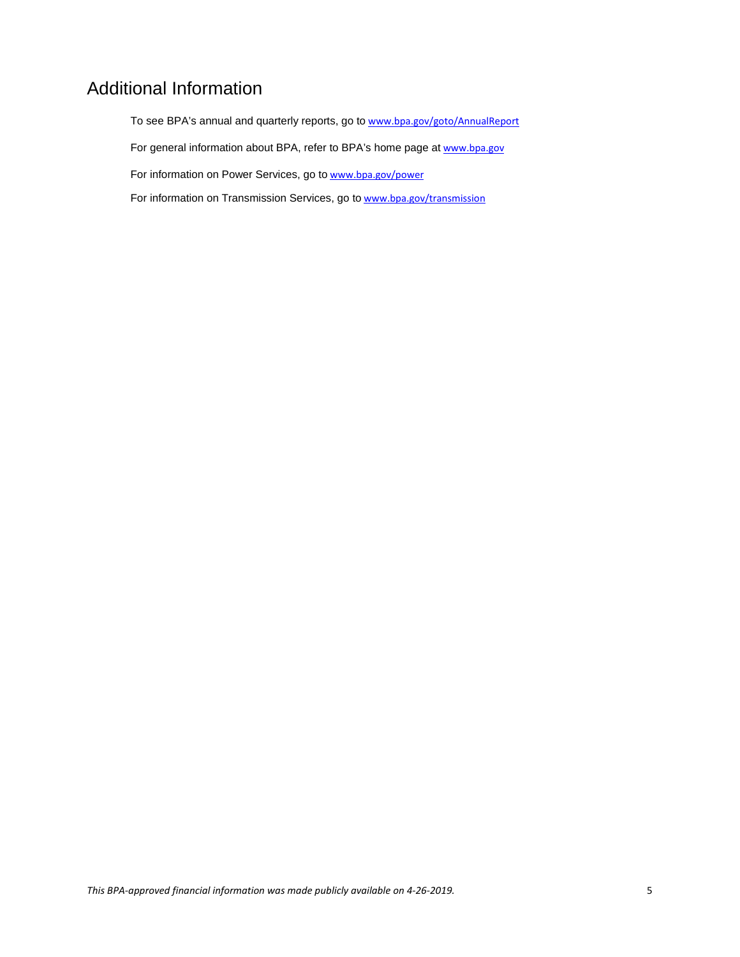## Additional Information

To see BPA's annual and quarterly reports, go to [www.bpa.gov/goto/AnnualReport](http://www.bpa.gov/goto/AnnualReport)

For general information about BPA, refer to BPA's home page at [www.bpa.gov](http://www.bpa.gov/)

For information on Power Services, go to [www.bpa.gov/power](http://www.bpa.gov/power)

For information on Transmission Services, go to [www.bpa.gov/transmission](http://www.bpa.gov/transmission)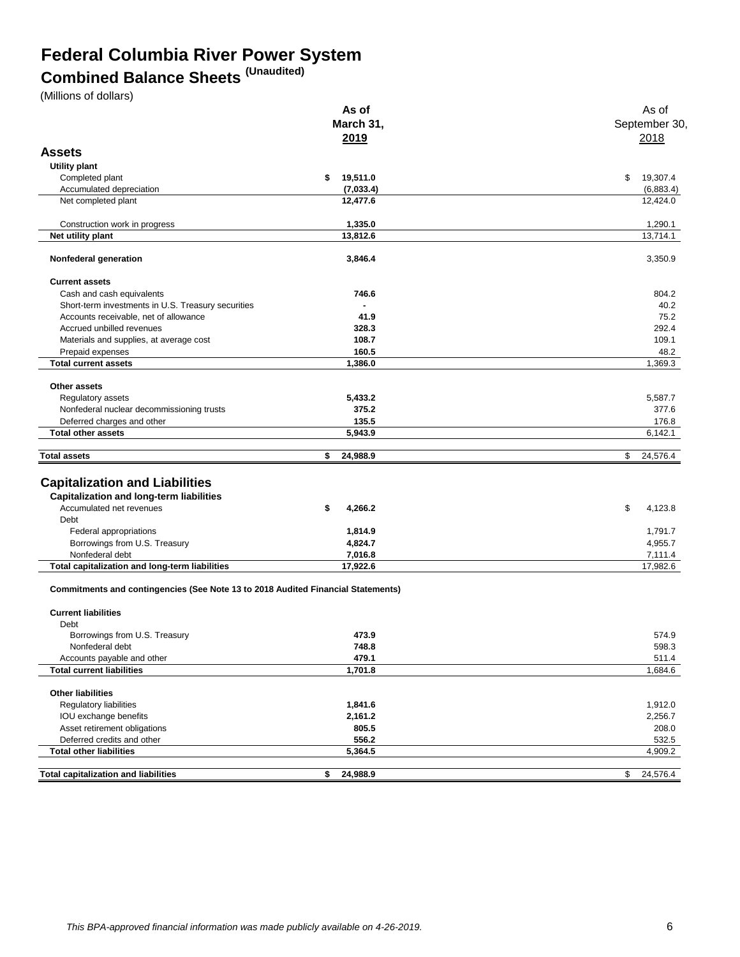## **Federal Columbia River Power System**

# **Combined Balance Sheets (Unaudited)**

(Millions of dollars)

|                                                                                             | As of                 | As of                 |
|---------------------------------------------------------------------------------------------|-----------------------|-----------------------|
|                                                                                             | March 31,             | September 30,         |
|                                                                                             | 2019                  | 2018                  |
| <b>Assets</b>                                                                               |                       |                       |
|                                                                                             |                       |                       |
| Utility plant                                                                               |                       |                       |
| Completed plant                                                                             | 19,511.0<br>\$        | 19,307.4<br>\$        |
| Accumulated depreciation<br>Net completed plant                                             | (7,033.4)<br>12,477.6 | (6,883.4)<br>12,424.0 |
|                                                                                             |                       |                       |
| Construction work in progress                                                               | 1,335.0               | 1,290.1               |
| Net utility plant                                                                           | 13,812.6              | 13,714.1              |
| Nonfederal generation                                                                       | 3,846.4               | 3,350.9               |
| <b>Current assets</b>                                                                       |                       |                       |
|                                                                                             | 746.6                 | 804.2                 |
| Cash and cash equivalents                                                                   |                       | 40.2                  |
| Short-term investments in U.S. Treasury securities<br>Accounts receivable, net of allowance | 41.9                  | 75.2                  |
| Accrued unbilled revenues                                                                   |                       | 292.4                 |
|                                                                                             | 328.3                 |                       |
| Materials and supplies, at average cost                                                     | 108.7                 | 109.1                 |
| Prepaid expenses<br><b>Total current assets</b>                                             | 160.5<br>1,386.0      | 48.2<br>1,369.3       |
|                                                                                             |                       |                       |
| Other assets                                                                                |                       |                       |
| Regulatory assets                                                                           | 5,433.2               | 5,587.7               |
|                                                                                             | 375.2                 | 377.6                 |
| Nonfederal nuclear decommissioning trusts                                                   | 135.5                 | 176.8                 |
| Deferred charges and other<br><b>Total other assets</b>                                     | 5,943.9               | 6,142.1               |
|                                                                                             |                       |                       |
| <b>Total assets</b>                                                                         | \$<br>24,988.9        | \$<br>24,576.4        |
|                                                                                             |                       |                       |
| <b>Capitalization and Liabilities</b>                                                       |                       |                       |
| <b>Capitalization and long-term liabilities</b>                                             |                       |                       |
|                                                                                             |                       |                       |
| Accumulated net revenues                                                                    | \$<br>4,266.2         | \$<br>4,123.8         |
| Debt                                                                                        |                       |                       |
| Federal appropriations                                                                      | 1,814.9               | 1,791.7               |
| Borrowings from U.S. Treasury                                                               | 4,824.7               | 4,955.7               |
| Nonfederal debt                                                                             | 7,016.8               | 7,111.4               |
| Total capitalization and long-term liabilities                                              | 17,922.6              | 17,982.6              |
| <b>Commitments and contingencies (See Note 13 to 2018 Audited Financial Statements)</b>     |                       |                       |
| <b>Current liabilities</b>                                                                  |                       |                       |
| Debt                                                                                        |                       |                       |
| Borrowings from U.S. Treasury                                                               | 473.9                 | 574.9                 |
| Nonfederal debt                                                                             | 748.8                 | 598.3                 |
| Accounts payable and other                                                                  | 479.1                 | 511.4                 |
| <b>Total current liabilities</b>                                                            | 1,701.8               | 1,684.6               |
|                                                                                             |                       |                       |
| <b>Other liabilities</b>                                                                    |                       |                       |
| Regulatory liabilities                                                                      | 1,841.6               | 1,912.0               |
| IOU exchange benefits                                                                       | 2,161.2               | 2,256.7               |
| Asset retirement obligations                                                                | 805.5                 | 208.0                 |
| Deferred credits and other                                                                  | 556.2                 | 532.5                 |
| <b>Total other liabilities</b>                                                              | 5,364.5               | 4,909.2               |
|                                                                                             |                       |                       |
| <b>Total capitalization and liabilities</b>                                                 | \$<br>24,988.9        | 24,576.4<br>\$        |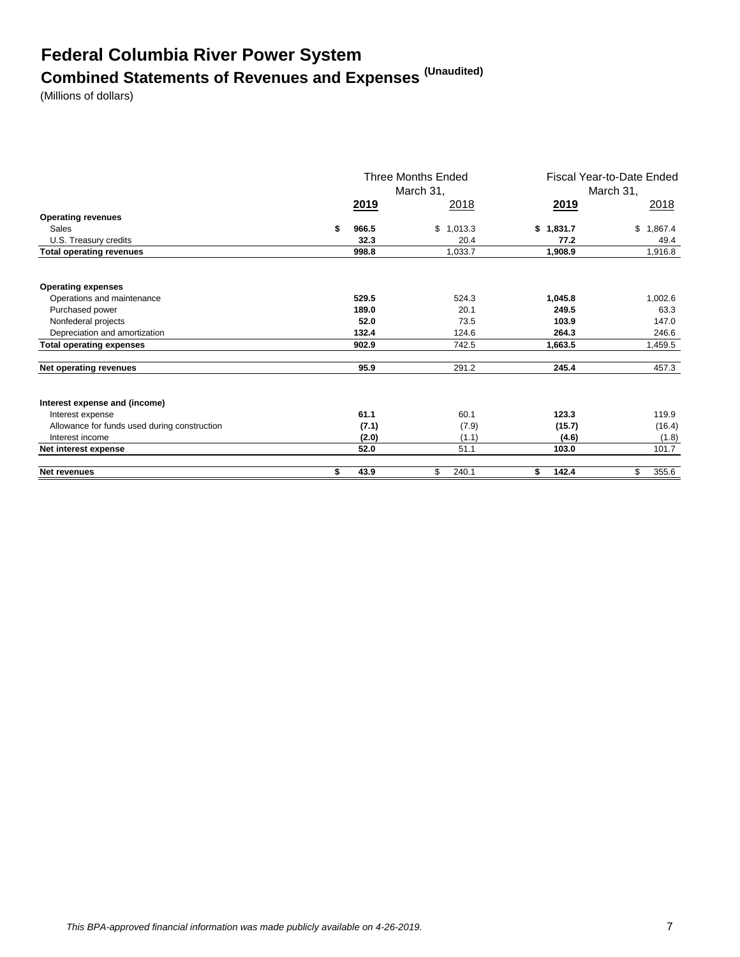# **Federal Columbia River Power System Combined Statements of Revenues and Expenses (Unaudited)**

(Millions of dollars)

|                                              |             | Three Months Ended<br>March 31, | Fiscal Year-to-Date Ended<br>March 31, |               |  |
|----------------------------------------------|-------------|---------------------------------|----------------------------------------|---------------|--|
|                                              | <u>2019</u> | 2018                            | <u>2019</u>                            | 2018          |  |
| <b>Operating revenues</b>                    |             |                                 |                                        |               |  |
| Sales                                        | \$<br>966.5 | \$1,013.3                       | \$1,831.7                              | \$<br>1,867.4 |  |
| U.S. Treasury credits                        | 32.3        | 20.4                            | 77.2                                   | 49.4          |  |
| <b>Total operating revenues</b>              | 998.8       | 1,033.7                         | 1,908.9                                | 1,916.8       |  |
| <b>Operating expenses</b>                    |             |                                 |                                        |               |  |
| Operations and maintenance                   | 529.5       | 524.3                           | 1,045.8                                | 1,002.6       |  |
| Purchased power                              | 189.0       | 20.1                            | 249.5                                  | 63.3          |  |
| Nonfederal projects                          | 52.0        | 73.5                            | 103.9                                  | 147.0         |  |
| Depreciation and amortization                | 132.4       | 124.6                           | 264.3                                  | 246.6         |  |
| <b>Total operating expenses</b>              | 902.9       | 742.5                           | 1,663.5                                | 1,459.5       |  |
| Net operating revenues                       | 95.9        | 291.2                           | 245.4                                  | 457.3         |  |
| Interest expense and (income)                |             |                                 |                                        |               |  |
| Interest expense                             | 61.1        | 60.1                            | 123.3                                  | 119.9         |  |
| Allowance for funds used during construction | (7.1)       | (7.9)                           | (15.7)                                 | (16.4)        |  |
| Interest income                              | (2.0)       | (1.1)                           | (4.6)                                  | (1.8)         |  |
| Net interest expense                         | 52.0        | 51.1                            | 103.0                                  | 101.7         |  |
| <b>Net revenues</b>                          | \$<br>43.9  | \$<br>240.1                     | 142.4<br>\$                            | \$<br>355.6   |  |